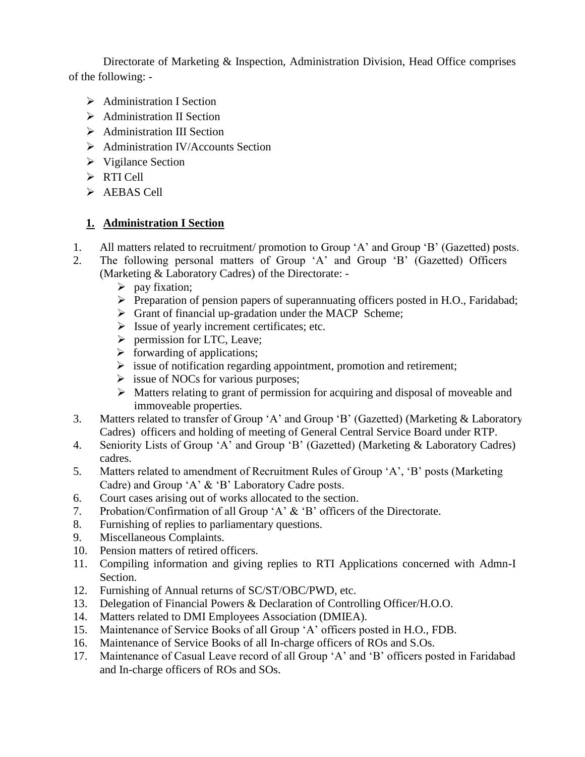Directorate of Marketing & Inspection, Administration Division, Head Office comprises of the following: -

- Administration I Section
- $\triangleright$  Administration II Section
- $\triangleright$  Administration III Section
- $\triangleright$  Administration IV/Accounts Section
- $\triangleright$  Vigilance Section
- $\triangleright$  RTI Cell
- $\triangleright$  AEBAS Cell

#### **1. Administration I Section**

- 1. All matters related to recruitment/ promotion to Group 'A' and Group 'B' (Gazetted) posts.
- 2. The following personal matters of Group 'A' and Group 'B' (Gazetted) Officers (Marketing & Laboratory Cadres) of the Directorate: -
	- $\triangleright$  pay fixation;
	- $\triangleright$  Preparation of pension papers of superannuating officers posted in H.O., Faridabad;
	- $\triangleright$  Grant of financial up-gradation under the MACP Scheme;
	- $\triangleright$  Issue of yearly increment certificates; etc.
	- $\triangleright$  permission for LTC, Leave;
	- $\triangleright$  forwarding of applications;
	- $\triangleright$  issue of notification regarding appointment, promotion and retirement;
	- $\triangleright$  issue of NOCs for various purposes;
	- $\triangleright$  Matters relating to grant of permission for acquiring and disposal of moveable and immoveable properties.
- 3. Matters related to transfer of Group 'A' and Group 'B' (Gazetted) (Marketing & Laboratory Cadres) officers and holding of meeting of General Central Service Board under RTP.
- 4. Seniority Lists of Group 'A' and Group 'B' (Gazetted) (Marketing & Laboratory Cadres) cadres.
- 5. Matters related to amendment of Recruitment Rules of Group 'A', 'B' posts (Marketing Cadre) and Group 'A' & 'B' Laboratory Cadre posts.
- 6. Court cases arising out of works allocated to the section.
- 7. Probation/Confirmation of all Group 'A' & 'B' officers of the Directorate.
- 8. Furnishing of replies to parliamentary questions.
- 9. Miscellaneous Complaints.
- 10. Pension matters of retired officers.
- 11. Compiling information and giving replies to RTI Applications concerned with Admn-I Section.
- 12. Furnishing of Annual returns of SC/ST/OBC/PWD, etc.
- 13. Delegation of Financial Powers & Declaration of Controlling Officer/H.O.O.
- 14. Matters related to DMI Employees Association (DMIEA).
- 15. Maintenance of Service Books of all Group 'A' officers posted in H.O., FDB.
- 16. Maintenance of Service Books of all In-charge officers of ROs and S.Os.
- 17. Maintenance of Casual Leave record of all Group 'A' and 'B' officers posted in Faridabad and In-charge officers of ROs and SOs.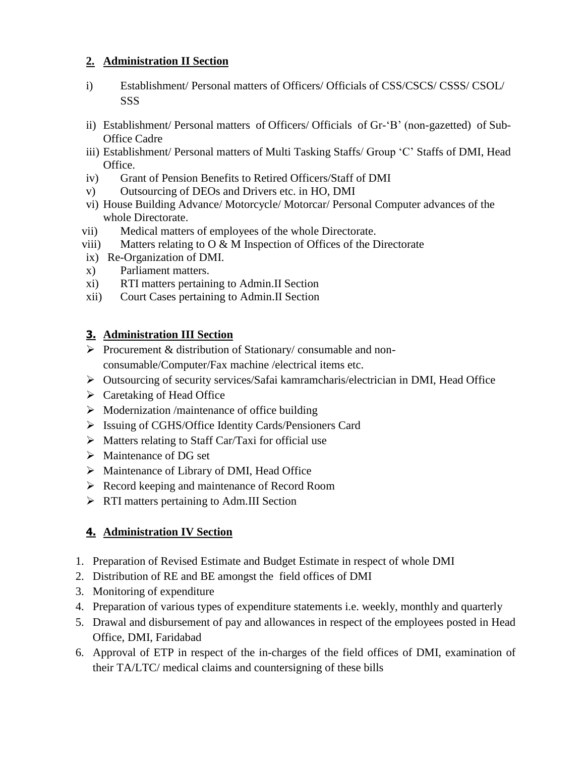#### **2. Administration II Section**

- i) Establishment/ Personal matters of Officers/ Officials of CSS/CSCS/ CSSS/ CSOL/ SSS
- ii) Establishment/ Personal matters of Officers/ Officials of Gr-'B' (non-gazetted) of Sub-Office Cadre
- iii) Establishment/ Personal matters of Multi Tasking Staffs/ Group 'C' Staffs of DMI, Head Office.
- iv) Grant of Pension Benefits to Retired Officers/Staff of DMI
- v) Outsourcing of DEOs and Drivers etc. in HO, DMI
- vi) House Building Advance/ Motorcycle/ Motorcar/ Personal Computer advances of the whole Directorate.
- vii) Medical matters of employees of the whole Directorate.
- viii) Matters relating to  $\overline{O} \& M$  Inspection of Offices of the Directorate
- ix) Re-Organization of DMI.
- x) Parliament matters.
- xi) RTI matters pertaining to Admin.II Section
- xii) Court Cases pertaining to Admin.II Section

### **3. Administration III Section**

- $\triangleright$  Procurement & distribution of Stationary/ consumable and nonconsumable/Computer/Fax machine /electrical items etc.
- Outsourcing of security services/Safai kamramcharis/electrician in DMI, Head Office
- $\triangleright$  Caretaking of Head Office
- $\triangleright$  Modernization /maintenance of office building
- Issuing of CGHS/Office Identity Cards/Pensioners Card
- $\triangleright$  Matters relating to Staff Car/Taxi for official use
- > Maintenance of DG set
- $\triangleright$  Maintenance of Library of DMI, Head Office
- Record keeping and maintenance of Record Room
- $\triangleright$  RTI matters pertaining to Adm.III Section

# **4. Administration IV Section**

- 1. Preparation of Revised Estimate and Budget Estimate in respect of whole DMI
- 2. Distribution of RE and BE amongst the field offices of DMI
- 3. Monitoring of expenditure
- 4. Preparation of various types of expenditure statements i.e. weekly, monthly and quarterly
- 5. Drawal and disbursement of pay and allowances in respect of the employees posted in Head Office, DMI, Faridabad
- 6. Approval of ETP in respect of the in-charges of the field offices of DMI, examination of their TA/LTC/ medical claims and countersigning of these bills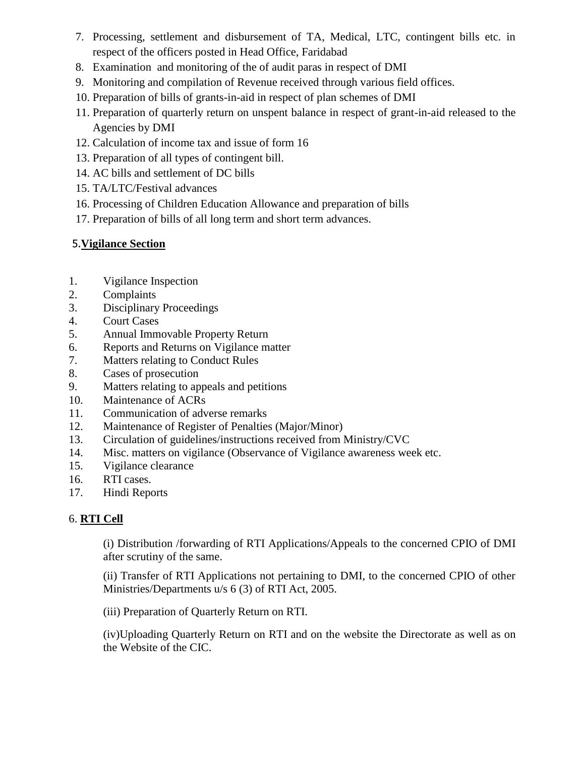- 7. Processing, settlement and disbursement of TA, Medical, LTC, contingent bills etc. in respect of the officers posted in Head Office, Faridabad
- 8. Examination and monitoring of the of audit paras in respect of DMI
- 9. Monitoring and compilation of Revenue received through various field offices.
- 10. Preparation of bills of grants-in-aid in respect of plan schemes of DMI
- 11. Preparation of quarterly return on unspent balance in respect of grant-in-aid released to the Agencies by DMI
- 12. Calculation of income tax and issue of form 16
- 13. Preparation of all types of contingent bill.
- 14. AC bills and settlement of DC bills
- 15. TA/LTC/Festival advances
- 16. Processing of Children Education Allowance and preparation of bills
- 17. Preparation of bills of all long term and short term advances.

# 5.**Vigilance Section**

- 1. Vigilance Inspection
- 2. Complaints
- 3. Disciplinary Proceedings
- 4. Court Cases
- 5. Annual Immovable Property Return
- 6. Reports and Returns on Vigilance matter
- 7. Matters relating to Conduct Rules
- 8. Cases of prosecution
- 9. Matters relating to appeals and petitions
- 10. Maintenance of ACRs
- 11. Communication of adverse remarks
- 12. Maintenance of Register of Penalties (Major/Minor)
- 13. Circulation of guidelines/instructions received from Ministry/CVC
- 14. Misc. matters on vigilance (Observance of Vigilance awareness week etc.
- 15. Vigilance clearance
- 16. RTI cases.
- 17. Hindi Reports

# 6. **RTI Cell**

(i) Distribution /forwarding of RTI Applications/Appeals to the concerned CPIO of DMI after scrutiny of the same.

(ii) Transfer of RTI Applications not pertaining to DMI, to the concerned CPIO of other Ministries/Departments u/s 6 (3) of RTI Act, 2005.

(iii) Preparation of Quarterly Return on RTI.

(iv)Uploading Quarterly Return on RTI and on the website the Directorate as well as on the Website of the CIC.